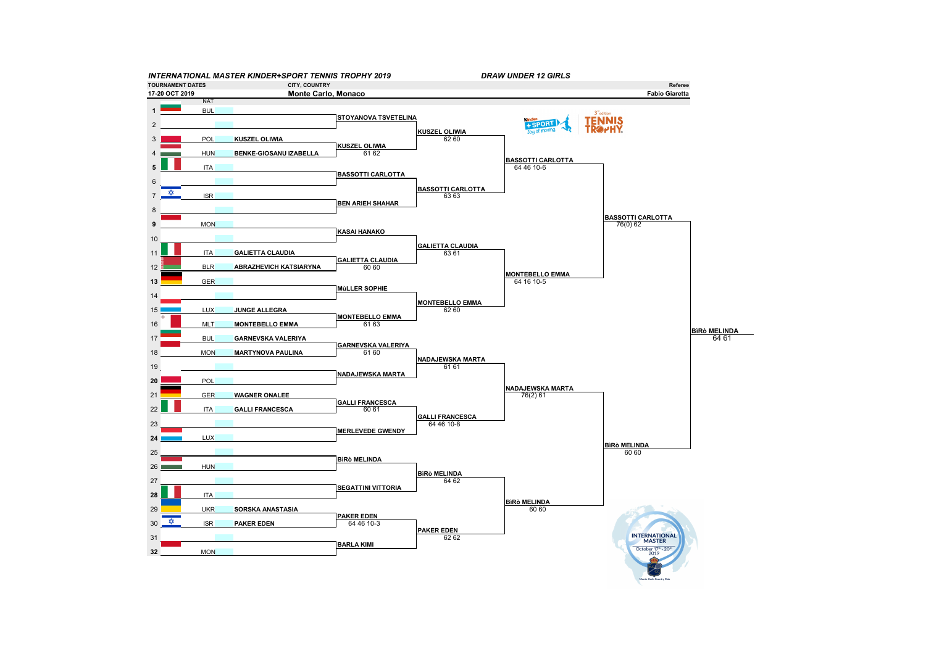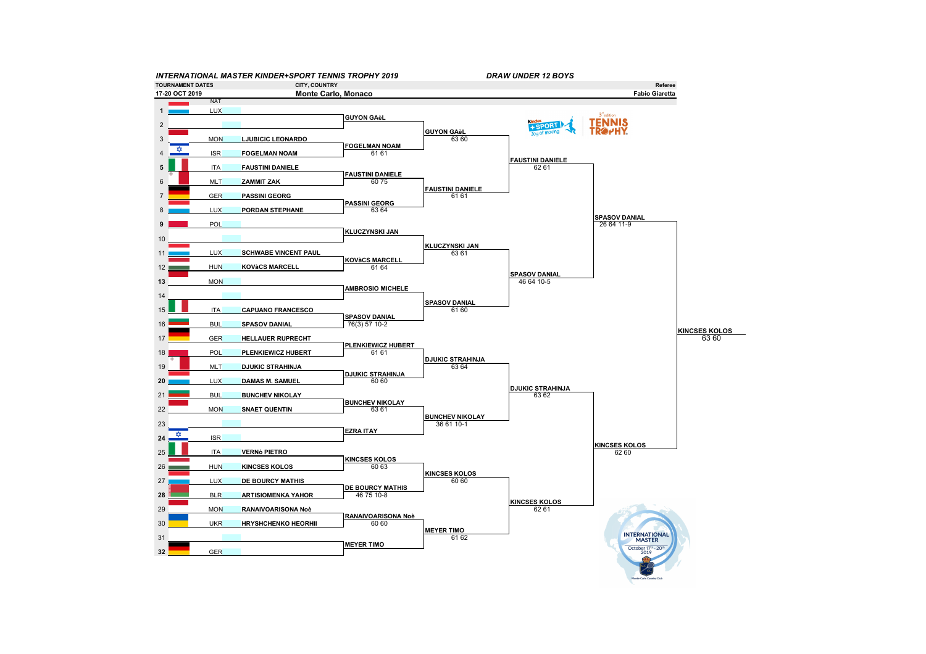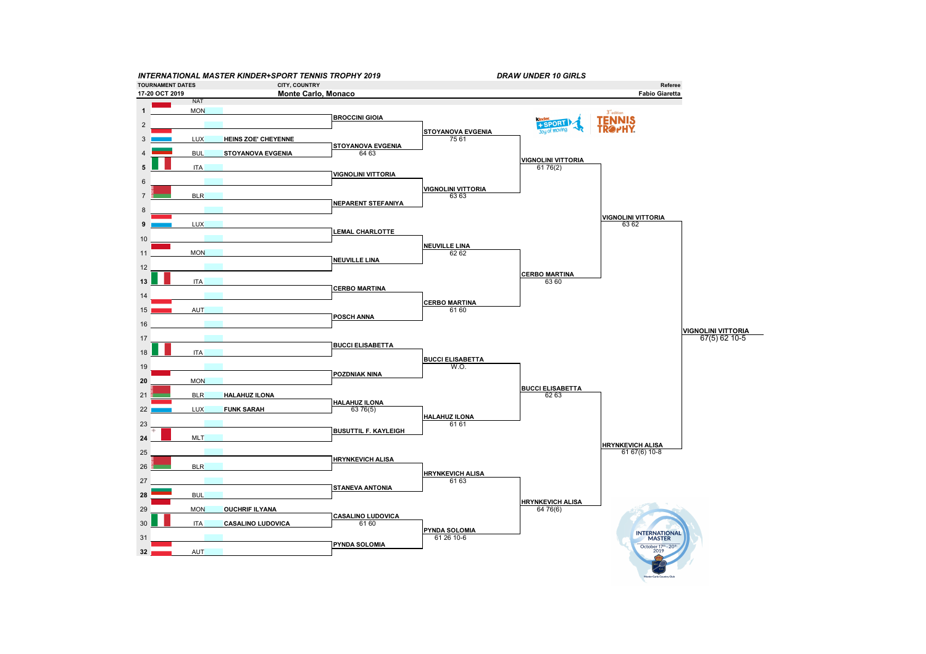